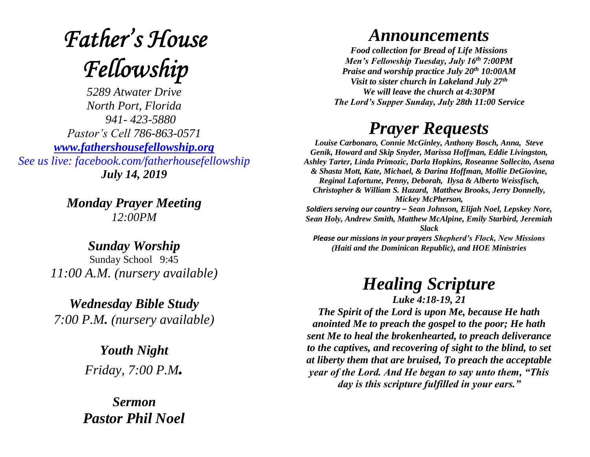# **Father's House** Fellowship

*5289 Atwater Drive North Port, Florida 941- 423-5880 Pastor's Cell 786-863-0571 [www.fathershousefellowship.org](http://www.fathershousefellowship.org/) See us live: facebook.com/fatherhousefellowship July 14, 2019*

> *Monday Prayer Meeting 12:00PM*

*Sunday Worship* Sunday School 9:45 *11:00 A.M. (nursery available)*

*Wednesday Bible Study 7:00 P.M. (nursery available)*

> *Youth Night Friday, 7:00 P.M.*

*Sermon Pastor Phil Noel*

### *Announcements*

*Food collection for Bread of Life Missions Men's Fellowship Tuesday, July 16th 7:00PM Praise and worship practice July 20th 10:00AM Visit to sister church in Lakeland July 27th We will leave the church at 4:30PM The Lord's Supper Sunday, July 28th 11:00 Service*

### *Prayer Requests*

*Louise Carbonaro, Connie McGinley, Anthony Bosch, Anna, Steve Genik, Howard and Skip Snyder, Marissa Hoffman, Eddie Livingston, Ashley Tarter, Linda Primozic, Darla Hopkins, Roseanne Sollecito, Asena & Shasta Mott, Kate, Michael, & Darina Hoffman, Mollie DeGiovine, Reginal Lafortune, Penny, Deborah, Ilysa & Alberto Weissfisch, Christopher & William S. Hazard, Matthew Brooks, Jerry Donnelly, Mickey McPherson, Soldiers serving our country – Sean Johnson, Elijah Noel, Lepskey Nore, Sean Holy, Andrew Smith, Matthew McAlpine, Emily Starbird, Jeremiah Slack Please our missions in your prayers Shepherd's Flock, New Missions (Haiti and the Dominican Republic), and HOE Ministries*

## *Healing Scripture*

*Luke 4:18-19, 21 The Spirit of the Lord is upon Me, because He hath anointed Me to preach the gospel to the poor; He hath sent Me to heal the brokenhearted, to preach deliverance to the captives, and recovering of sight to the blind, to set at liberty them that are bruised, To preach the acceptable year of the Lord. And He began to say unto them, "This day is this scripture fulfilled in your ears."*